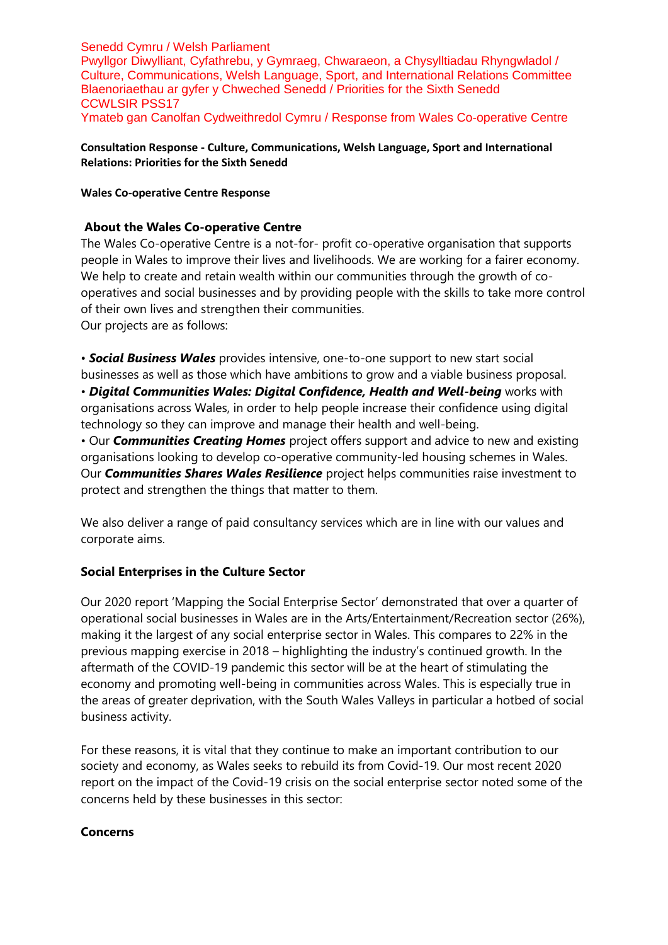#### Senedd Cymru / Welsh Parliament Pwyllgor Diwylliant, Cyfathrebu, y Gymraeg, Chwaraeon, a Chysylltiadau Rhyngwladol / Culture, Communications, Welsh Language, Sport, and International Relations Committee Blaenoriaethau ar gyfer y Chweched Senedd / Priorities for the Sixth Senedd CCWLSIR PSS17 Ymateb gan Canolfan Cydweithredol Cymru / Response from Wales Co-operative Centre

**Consultation Response - Culture, Communications, Welsh Language, Sport and International Relations: Priorities for the Sixth Senedd**

**Wales Co-operative Centre Response**

## **About the Wales Co-operative Centre**

The Wales Co-operative Centre is a not-for- profit co-operative organisation that supports people in Wales to improve their lives and livelihoods. We are working for a fairer economy. We help to create and retain wealth within our communities through the growth of cooperatives and social businesses and by providing people with the skills to take more control of their own lives and strengthen their communities. Our projects are as follows:

• *Social Business Wales* provides intensive, one-to-one support to new start social businesses as well as those which have ambitions to grow and a viable business proposal. • *Digital Communities Wales: Digital Confidence, Health and Well-being* works with organisations across Wales, in order to help people increase their confidence using digital technology so they can improve and manage their health and well-being.

• Our *Communities Creating Homes* project offers support and advice to new and existing organisations looking to develop co-operative community-led housing schemes in Wales. Our *Communities Shares Wales Resilience* project helps communities raise investment to protect and strengthen the things that matter to them.

We also deliver a range of paid consultancy services which are in line with our values and corporate aims.

# **Social Enterprises in the Culture Sector**

Our 2020 report 'Mapping the Social Enterprise Sector' demonstrated that over a quarter of operational social businesses in Wales are in the Arts/Entertainment/Recreation sector (26%), making it the largest of any social enterprise sector in Wales. This compares to 22% in the previous mapping exercise in 2018 – highlighting the industry's continued growth. In the aftermath of the COVID-19 pandemic this sector will be at the heart of stimulating the economy and promoting well-being in communities across Wales. This is especially true in the areas of greater deprivation, with the South Wales Valleys in particular a hotbed of social business activity.

For these reasons, it is vital that they continue to make an important contribution to our society and economy, as Wales seeks to rebuild its from Covid-19. Our most recent 2020 report on the impact of the Covid-19 crisis on the social enterprise sector noted some of the concerns held by these businesses in this sector:

### **Concerns**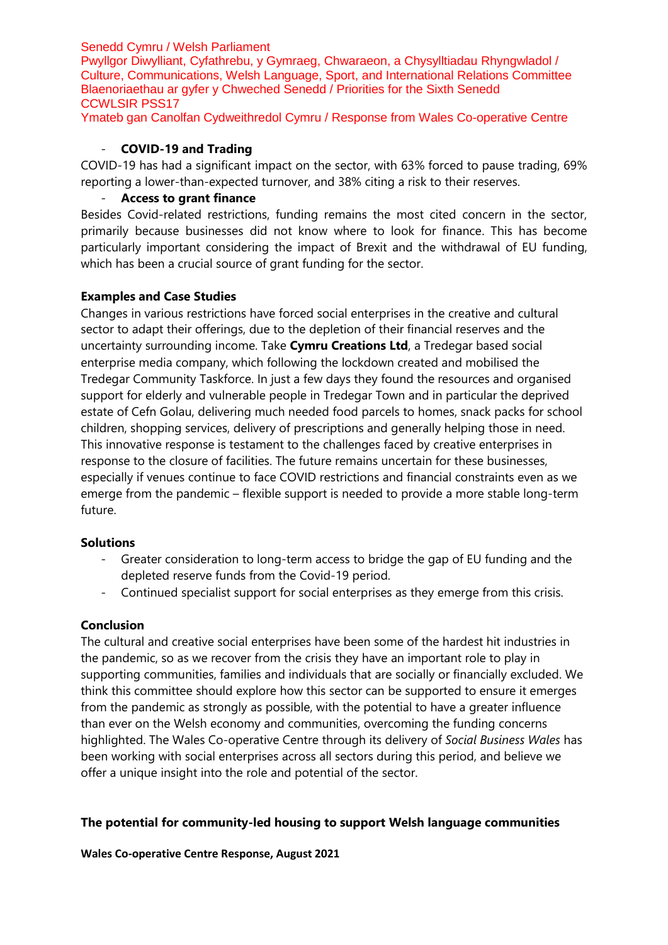### Senedd Cymru / Welsh Parliament

Pwyllgor Diwylliant, Cyfathrebu, y Gymraeg, Chwaraeon, a Chysylltiadau Rhyngwladol / Culture, Communications, Welsh Language, Sport, and International Relations Committee Blaenoriaethau ar gyfer y Chweched Senedd / Priorities for the Sixth Senedd CCWLSIR PSS17

Ymateb gan Canolfan Cydweithredol Cymru / Response from Wales Co-operative Centre

## - **COVID-19 and Trading**

COVID-19 has had a significant impact on the sector, with 63% forced to pause trading, 69% reporting a lower-than-expected turnover, and 38% citing a risk to their reserves.

## - **Access to grant finance**

Besides Covid-related restrictions, funding remains the most cited concern in the sector, primarily because businesses did not know where to look for finance. This has become particularly important considering the impact of Brexit and the withdrawal of EU funding, which has been a crucial source of grant funding for the sector.

## **Examples and Case Studies**

Changes in various restrictions have forced social enterprises in the creative and cultural sector to adapt their offerings, due to the depletion of their financial reserves and the uncertainty surrounding income. Take **Cymru Creations Ltd**, a Tredegar based social enterprise media company, which following the lockdown created and mobilised the Tredegar Community Taskforce. In just a few days they found the resources and organised support for elderly and vulnerable people in Tredegar Town and in particular the deprived estate of Cefn Golau, delivering much needed food parcels to homes, snack packs for school children, shopping services, delivery of prescriptions and generally helping those in need. This innovative response is testament to the challenges faced by creative enterprises in response to the closure of facilities. The future remains uncertain for these businesses, especially if venues continue to face COVID restrictions and financial constraints even as we emerge from the pandemic – flexible support is needed to provide a more stable long-term future.

### **Solutions**

- Greater consideration to long-term access to bridge the gap of EU funding and the depleted reserve funds from the Covid-19 period.
- Continued specialist support for social enterprises as they emerge from this crisis.

### **Conclusion**

The cultural and creative social enterprises have been some of the hardest hit industries in the pandemic, so as we recover from the crisis they have an important role to play in supporting communities, families and individuals that are socially or financially excluded. We think this committee should explore how this sector can be supported to ensure it emerges from the pandemic as strongly as possible, with the potential to have a greater influence than ever on the Welsh economy and communities, overcoming the funding concerns highlighted. The Wales Co-operative Centre through its delivery of *Social Business Wales* has been working with social enterprises across all sectors during this period, and believe we offer a unique insight into the role and potential of the sector.

# **The potential for community-led housing to support Welsh language communities**

**Wales Co-operative Centre Response, August 2021**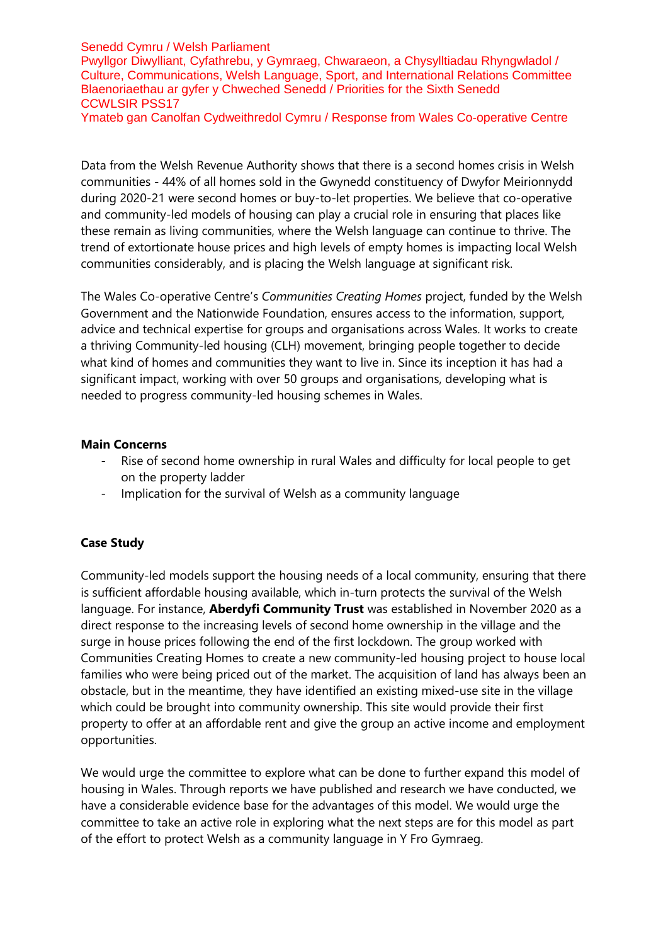### Senedd Cymru / Welsh Parliament

Pwyllgor Diwylliant, Cyfathrebu, y Gymraeg, Chwaraeon, a Chysylltiadau Rhyngwladol / Culture, Communications, Welsh Language, Sport, and International Relations Committee Blaenoriaethau ar gyfer y Chweched Senedd / Priorities for the Sixth Senedd CCWLSIR PSS17

Ymateb gan Canolfan Cydweithredol Cymru / Response from Wales Co-operative Centre

Data from the Welsh Revenue Authority shows that there is a second homes crisis in Welsh communities - 44% of all homes sold in the Gwynedd constituency of Dwyfor Meirionnydd during 2020-21 were second homes or buy-to-let properties. We believe that co-operative and community-led models of housing can play a crucial role in ensuring that places like these remain as living communities, where the Welsh language can continue to thrive. The trend of extortionate house prices and high levels of empty homes is impacting local Welsh communities considerably, and is placing the Welsh language at significant risk.

The Wales Co-operative Centre's *Communities Creating Homes* project, funded by the Welsh Government and the Nationwide Foundation, ensures access to the information, support, advice and technical expertise for groups and organisations across Wales. It works to create a thriving Community-led housing (CLH) movement, bringing people together to decide what kind of homes and communities they want to live in. Since its inception it has had a significant impact, working with over 50 groups and organisations, developing what is needed to progress community-led housing schemes in Wales.

### **Main Concerns**

- Rise of second home ownership in rural Wales and difficulty for local people to get on the property ladder
- Implication for the survival of Welsh as a community language

# **Case Study**

Community-led models support the housing needs of a local community, ensuring that there is sufficient affordable housing available, which in-turn protects the survival of the Welsh language. For instance, **Aberdyfi Community Trust** was established in November 2020 as a direct response to the increasing levels of second home ownership in the village and the surge in house prices following the end of the first lockdown. The group worked with Communities Creating Homes to create a new community-led housing project to house local families who were being priced out of the market. The acquisition of land has always been an obstacle, but in the meantime, they have identified an existing mixed-use site in the village which could be brought into community ownership. This site would provide their first property to offer at an affordable rent and give the group an active income and employment opportunities.

We would urge the committee to explore what can be done to further expand this model of housing in Wales. Through reports we have published and research we have conducted, we have a considerable evidence base for the advantages of this model. We would urge the committee to take an active role in exploring what the next steps are for this model as part of the effort to protect Welsh as a community language in Y Fro Gymraeg.